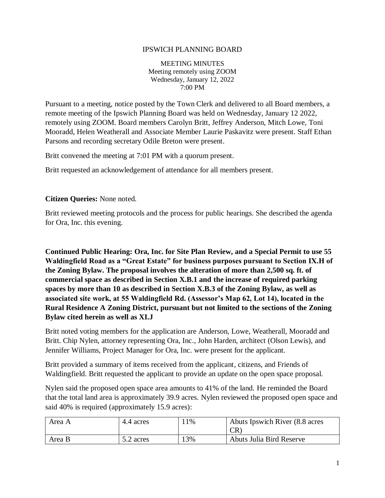#### IPSWICH PLANNING BOARD

MEETING MINUTES Meeting remotely using ZOOM Wednesday, January 12, 2022 7:00 PM

Pursuant to a meeting, notice posted by the Town Clerk and delivered to all Board members, a remote meeting of the Ipswich Planning Board was held on Wednesday, January 12 2022, remotely using ZOOM. Board members Carolyn Britt, Jeffrey Anderson, Mitch Lowe, Toni Mooradd, Helen Weatherall and Associate Member Laurie Paskavitz were present. Staff Ethan Parsons and recording secretary Odile Breton were present.

Britt convened the meeting at 7:01 PM with a quorum present.

Britt requested an acknowledgement of attendance for all members present.

#### **Citizen Queries:** None noted.

Britt reviewed meeting protocols and the process for public hearings. She described the agenda for Ora, Inc. this evening.

**Continued Public Hearing: Ora, Inc. for Site Plan Review, and a Special Permit to use 55 Waldingfield Road as a "Great Estate" for business purposes pursuant to Section IX.H of the Zoning Bylaw. The proposal involves the alteration of more than 2,500 sq. ft. of commercial space as described in Section X.B.1 and the increase of required parking spaces by more than 10 as described in Section X.B.3 of the Zoning Bylaw, as well as associated site work, at 55 Waldingfield Rd. (Assessor's Map 62, Lot 14), located in the Rural Residence A Zoning District, pursuant but not limited to the sections of the Zoning Bylaw cited herein as well as XI.J**

Britt noted voting members for the application are Anderson, Lowe, Weatherall, Mooradd and Britt. Chip Nylen, attorney representing Ora, Inc., John Harden, architect (Olson Lewis), and Jennifer Williams, Project Manager for Ora, Inc. were present for the applicant.

Britt provided a summary of items received from the applicant, citizens, and Friends of Waldingfield. Britt requested the applicant to provide an update on the open space proposal.

Nylen said the proposed open space area amounts to 41% of the land. He reminded the Board that the total land area is approximately 39.9 acres. Nylen reviewed the proposed open space and said 40% is required (approximately 15.9 acres):

| Area A | 4.4 acres | $1\%$ | Abuts Ipswich River (8.8 acres)<br><b>CR</b> |
|--------|-----------|-------|----------------------------------------------|
| Area B | 5.2 acres | 13%   | Abuts Julia Bird Reserve                     |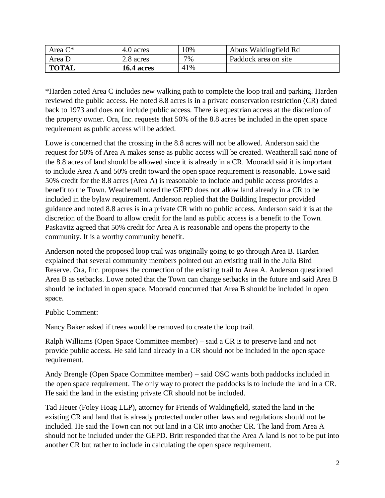| Area $C^*$   | 4.0 acres  | 10% | Abuts Waldingfield Rd |
|--------------|------------|-----|-----------------------|
| Area D       | 2.8 acres  | 7%  | Paddock area on site  |
| <b>TOTAL</b> | 16.4 acres | 41% |                       |

\*Harden noted Area C includes new walking path to complete the loop trail and parking. Harden reviewed the public access. He noted 8.8 acres is in a private conservation restriction (CR) dated back to 1973 and does not include public access. There is equestrian access at the discretion of the property owner. Ora, Inc. requests that 50% of the 8.8 acres be included in the open space requirement as public access will be added.

Lowe is concerned that the crossing in the 8.8 acres will not be allowed. Anderson said the request for 50% of Area A makes sense as public access will be created. Weatherall said none of the 8.8 acres of land should be allowed since it is already in a CR. Mooradd said it is important to include Area A and 50% credit toward the open space requirement is reasonable. Lowe said 50% credit for the 8.8 acres (Area A) is reasonable to include and public access provides a benefit to the Town. Weatherall noted the GEPD does not allow land already in a CR to be included in the bylaw requirement. Anderson replied that the Building Inspector provided guidance and noted 8.8 acres is in a private CR with no public access. Anderson said it is at the discretion of the Board to allow credit for the land as public access is a benefit to the Town. Paskavitz agreed that 50% credit for Area A is reasonable and opens the property to the community. It is a worthy community benefit.

Anderson noted the proposed loop trail was originally going to go through Area B. Harden explained that several community members pointed out an existing trail in the Julia Bird Reserve. Ora, Inc. proposes the connection of the existing trail to Area A. Anderson questioned Area B as setbacks. Lowe noted that the Town can change setbacks in the future and said Area B should be included in open space. Mooradd concurred that Area B should be included in open space.

Public Comment:

Nancy Baker asked if trees would be removed to create the loop trail.

Ralph Williams (Open Space Committee member) – said a CR is to preserve land and not provide public access. He said land already in a CR should not be included in the open space requirement.

Andy Brengle (Open Space Committee member) – said OSC wants both paddocks included in the open space requirement. The only way to protect the paddocks is to include the land in a CR. He said the land in the existing private CR should not be included.

Tad Heuer (Foley Hoag LLP), attorney for Friends of Waldingfield, stated the land in the existing CR and land that is already protected under other laws and regulations should not be included. He said the Town can not put land in a CR into another CR. The land from Area A should not be included under the GEPD. Britt responded that the Area A land is not to be put into another CR but rather to include in calculating the open space requirement.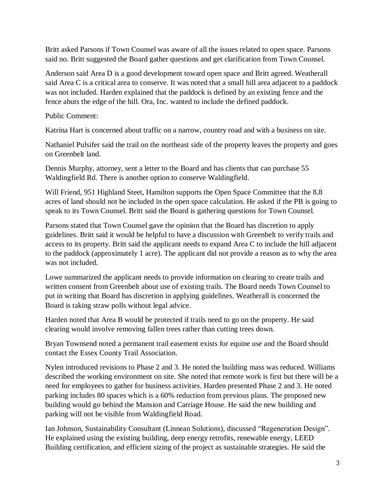Britt asked Parsons if Town Counsel was aware of all the issues related to open space. Parsons said no. Britt suggested the Board gather questions and get clarification from Town Counsel.

Anderson said Area D is a good development toward open space and Britt agreed. Weatherall said Area C is a critical area to conserve. It was noted that a small hill area adjacent to a paddock was not included. Harden explained that the paddock is defined by an existing fence and the fence abuts the edge of the hill. Ora, Inc. wanted to include the defined paddock.

Public Comment:

Katrina Hart is concerned about traffic on a narrow, country road and with a business on site.

Nathaniel Pulsifer said the trail on the northeast side of the property leaves the property and goes on Greenbelt land.

Dennis Murphy, attorney, sent a letter to the Board and has clients that can purchase 55 Waldingfield Rd. There is another option to conserve Waldingfield.

Will Friend, 951 Highland Steet, Hamilton supports the Open Space Committee that the 8.8 acres of land should not be included in the open space calculation. He asked if the PB is going to speak to its Town Counsel. Britt said the Board is gathering questions for Town Counsel.

Parsons stated that Town Counsel gave the opinion that the Board has discretion to apply guidelines. Britt said it would be helpful to have a discussion with Greenbelt to verify trails and access to its property. Britt said the applicant needs to expand Area C to include the hill adjacent to the paddock (approximately 1 acre). The applicant did not provide a reason as to why the area was not included.

Lowe summarized the applicant needs to provide information on clearing to create trails and written consent from Greenbelt about use of existing trails. The Board needs Town Counsel to put in writing that Board has discretion in applying guidelines. Weatherall is concerned the Board is taking straw polls without legal advice.

Harden noted that Area B would be protected if trails need to go on the property. He said clearing would involve removing fallen trees rather than cutting trees down.

Bryan Townsend noted a permanent trail easement exists for equine use and the Board should contact the Essex County Trail Association.

Nylen introduced revisions to Phase 2 and 3. He noted the building mass was reduced. Williams described the working environment on site. She noted that remote work is first but there will be a need for employees to gather for business activities. Harden presented Phase 2 and 3. He noted parking includes 80 spaces which is a 60% reduction from previous plans. The proposed new building would go behind the Mansion and Carriage House. He said the new building and parking will not be visible from Waldingfield Road.

Ian Johnson, Sustainability Consultant (Linnean Solutions), discussed "Regeneration Design". He explained using the existing building, deep energy retrofits, renewable energy, LEED Building certification, and efficient sizing of the project as sustainable strategies. He said the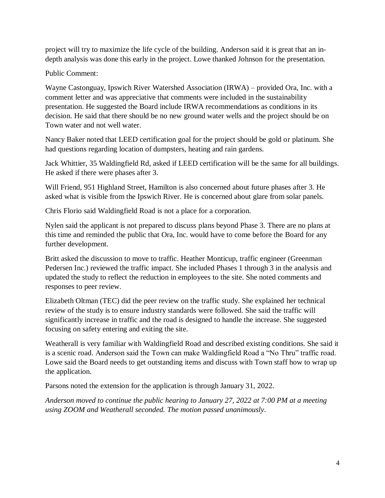project will try to maximize the life cycle of the building. Anderson said it is great that an indepth analysis was done this early in the project. Lowe thanked Johnson for the presentation.

# Public Comment:

Wayne Castonguay, Ipswich River Watershed Association (IRWA) – provided Ora, Inc. with a comment letter and was appreciative that comments were included in the sustainability presentation. He suggested the Board include IRWA recommendations as conditions in its decision. He said that there should be no new ground water wells and the project should be on Town water and not well water.

Nancy Baker noted that LEED certification goal for the project should be gold or platinum. She had questions regarding location of dumpsters, heating and rain gardens.

Jack Whittier, 35 Waldingfield Rd, asked if LEED certification will be the same for all buildings. He asked if there were phases after 3.

Will Friend, 951 Highland Street, Hamilton is also concerned about future phases after 3. He asked what is visible from the Ipswich River. He is concerned about glare from solar panels.

Chris Florio said Waldingfield Road is not a place for a corporation.

Nylen said the applicant is not prepared to discuss plans beyond Phase 3. There are no plans at this time and reminded the public that Ora, Inc. would have to come before the Board for any further development.

Britt asked the discussion to move to traffic. Heather Monticup, traffic engineer (Greenman Pedersen Inc.) reviewed the traffic impact. She included Phases 1 through 3 in the analysis and updated the study to reflect the reduction in employees to the site. She noted comments and responses to peer review.

Elizabeth Oltman (TEC) did the peer review on the traffic study. She explained her technical review of the study is to ensure industry standards were followed. She said the traffic will significantly increase in traffic and the road is designed to handle the increase. She suggested focusing on safety entering and exiting the site.

Weatherall is very familiar with Waldingfield Road and described existing conditions. She said it is a scenic road. Anderson said the Town can make Waldingfield Road a "No Thru" traffic road. Lowe said the Board needs to get outstanding items and discuss with Town staff how to wrap up the application.

Parsons noted the extension for the application is through January 31, 2022.

*Anderson moved to continue the public hearing to January 27, 2022 at 7:00 PM at a meeting using ZOOM and Weatherall seconded. The motion passed unanimously*.